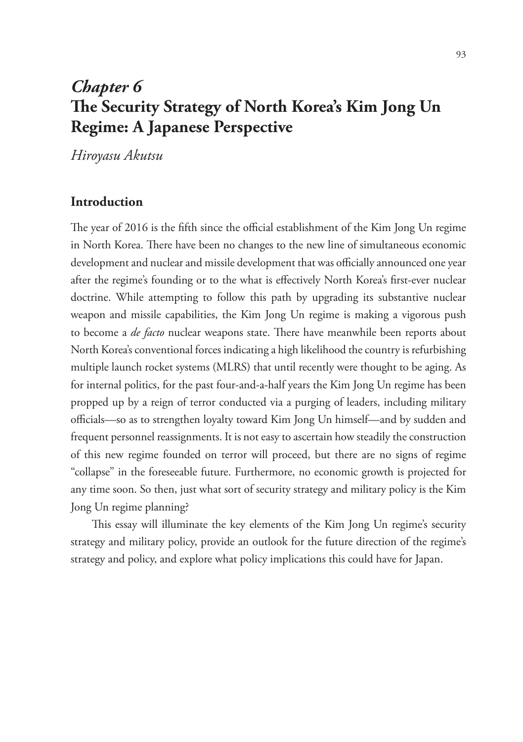# *Chapter 6*  **The Security Strategy of North Korea's Kim Jong Un Regime: A Japanese Perspective**

*Hiroyasu Akutsu*

## **Introduction**

The year of 2016 is the fifth since the official establishment of the Kim Jong Un regime in North Korea. There have been no changes to the new line of simultaneous economic development and nuclear and missile development that was officially announced one year after the regime's founding or to the what is effectively North Korea's first-ever nuclear doctrine. While attempting to follow this path by upgrading its substantive nuclear weapon and missile capabilities, the Kim Jong Un regime is making a vigorous push to become a *de facto* nuclear weapons state. There have meanwhile been reports about North Korea's conventional forces indicating a high likelihood the country is refurbishing multiple launch rocket systems (MLRS) that until recently were thought to be aging. As for internal politics, for the past four-and-a-half years the Kim Jong Un regime has been propped up by a reign of terror conducted via a purging of leaders, including military officials—so as to strengthen loyalty toward Kim Jong Un himself—and by sudden and frequent personnel reassignments. It is not easy to ascertain how steadily the construction of this new regime founded on terror will proceed, but there are no signs of regime "collapse" in the foreseeable future. Furthermore, no economic growth is projected for any time soon. So then, just what sort of security strategy and military policy is the Kim Jong Un regime planning?

This essay will illuminate the key elements of the Kim Jong Un regime's security strategy and military policy, provide an outlook for the future direction of the regime's strategy and policy, and explore what policy implications this could have for Japan.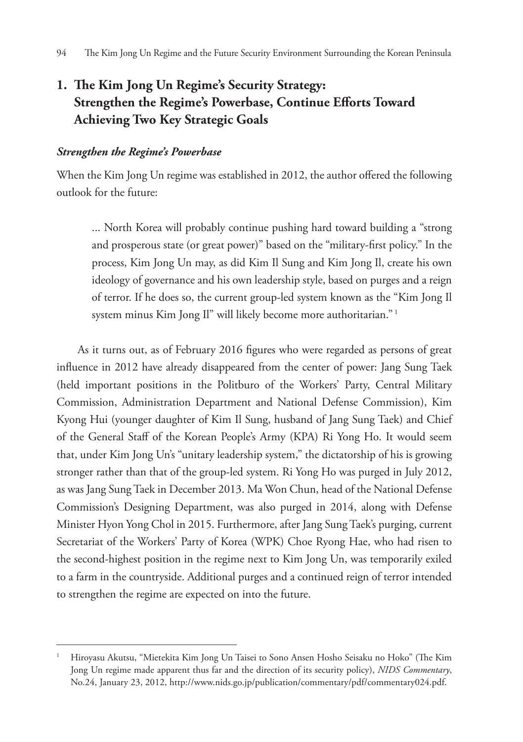## **1. The Kim Jong Un Regime's Security Strategy: Strengthen the Regime's Powerbase, Continue Efforts Toward Achieving Two Key Strategic Goals**

#### *Strengthen the Regime's Powerbase*

When the Kim Jong Un regime was established in 2012, the author offered the following outlook for the future:

... North Korea will probably continue pushing hard toward building a "strong and prosperous state (or great power)" based on the "military-first policy." In the process, Kim Jong Un may, as did Kim Il Sung and Kim Jong Il, create his own ideology of governance and his own leadership style, based on purges and a reign of terror. If he does so, the current group-led system known as the "Kim Jong Il system minus Kim Jong Il" will likely become more authoritarian."<sup>1</sup>

As it turns out, as of February 2016 figures who were regarded as persons of great influence in 2012 have already disappeared from the center of power: Jang Sung Taek (held important positions in the Politburo of the Workers' Party, Central Military Commission, Administration Department and National Defense Commission), Kim Kyong Hui (younger daughter of Kim Il Sung, husband of Jang Sung Taek) and Chief of the General Staff of the Korean People's Army (KPA) Ri Yong Ho. It would seem that, under Kim Jong Un's "unitary leadership system," the dictatorship of his is growing stronger rather than that of the group-led system. Ri Yong Ho was purged in July 2012, as was Jang Sung Taek in December 2013. Ma Won Chun, head of the National Defense Commission's Designing Department, was also purged in 2014, along with Defense Minister Hyon Yong Chol in 2015. Furthermore, after Jang Sung Taek's purging, current Secretariat of the Workers' Party of Korea (WPK) Choe Ryong Hae, who had risen to the second-highest position in the regime next to Kim Jong Un, was temporarily exiled to a farm in the countryside. Additional purges and a continued reign of terror intended to strengthen the regime are expected on into the future.

<sup>1</sup> Hiroyasu Akutsu, "Mietekita Kim Jong Un Taisei to Sono Ansen Hosho Seisaku no Hoko" (The Kim Jong Un regime made apparent thus far and the direction of its security policy), *NIDS Commentary*, No.24, January 23, 2012, http://www.nids.go.jp/publication/commentary/pdf/commentary024.pdf.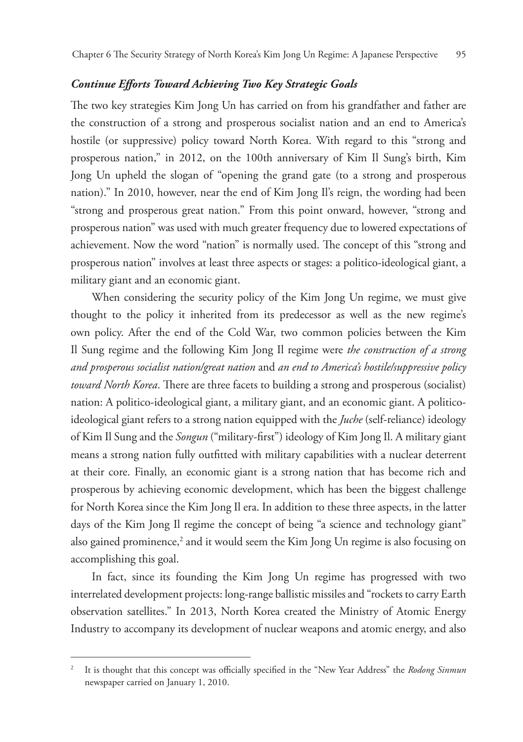#### *Continue Efforts Toward Achieving Two Key Strategic Goals*

The two key strategies Kim Jong Un has carried on from his grandfather and father are the construction of a strong and prosperous socialist nation and an end to America's hostile (or suppressive) policy toward North Korea. With regard to this "strong and prosperous nation," in 2012, on the 100th anniversary of Kim Il Sung's birth, Kim Jong Un upheld the slogan of "opening the grand gate (to a strong and prosperous nation)." In 2010, however, near the end of Kim Jong Il's reign, the wording had been "strong and prosperous great nation." From this point onward, however, "strong and prosperous nation" was used with much greater frequency due to lowered expectations of achievement. Now the word "nation" is normally used. The concept of this "strong and prosperous nation" involves at least three aspects or stages: a politico-ideological giant, a military giant and an economic giant.

When considering the security policy of the Kim Jong Un regime, we must give thought to the policy it inherited from its predecessor as well as the new regime's own policy. After the end of the Cold War, two common policies between the Kim Il Sung regime and the following Kim Jong Il regime were *the construction of a strong and prosperous socialist nation/great nation* and *an end to America's hostile/suppressive policy toward North Korea*. There are three facets to building a strong and prosperous (socialist) nation: A politico-ideological giant, a military giant, and an economic giant. A politicoideological giant refers to a strong nation equipped with the *Juche* (self-reliance) ideology of Kim Il Sung and the *Songun* ("military-first") ideology of Kim Jong Il. A military giant means a strong nation fully outfitted with military capabilities with a nuclear deterrent at their core. Finally, an economic giant is a strong nation that has become rich and prosperous by achieving economic development, which has been the biggest challenge for North Korea since the Kim Jong Il era. In addition to these three aspects, in the latter days of the Kim Jong Il regime the concept of being "a science and technology giant" also gained prominence,<sup>2</sup> and it would seem the Kim Jong Un regime is also focusing on accomplishing this goal.

In fact, since its founding the Kim Jong Un regime has progressed with two interrelated development projects: long-range ballistic missiles and "rockets to carry Earth observation satellites." In 2013, North Korea created the Ministry of Atomic Energy Industry to accompany its development of nuclear weapons and atomic energy, and also

<sup>2</sup> It is thought that this concept was officially specified in the "New Year Address" the *Rodong Sinmun* newspaper carried on January 1, 2010.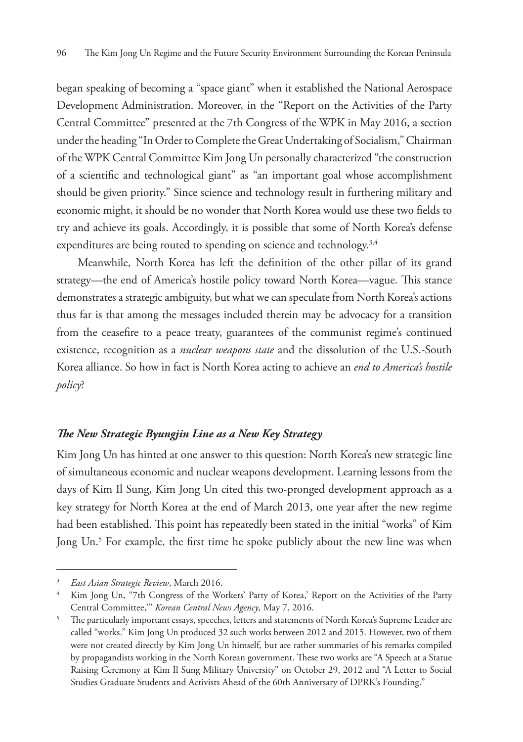began speaking of becoming a "space giant" when it established the National Aerospace Development Administration. Moreover, in the "Report on the Activities of the Party Central Committee" presented at the 7th Congress of the WPK in May 2016, a section under the heading "In Order to Complete the Great Undertaking of Socialism," Chairman of the WPK Central Committee Kim Jong Un personally characterized "the construction of a scientific and technological giant" as "an important goal whose accomplishment should be given priority." Since science and technology result in furthering military and economic might, it should be no wonder that North Korea would use these two fields to try and achieve its goals. Accordingly, it is possible that some of North Korea's defense expenditures are being routed to spending on science and technology.<sup>3,4</sup>

Meanwhile, North Korea has left the definition of the other pillar of its grand strategy—the end of America's hostile policy toward North Korea—vague. This stance demonstrates a strategic ambiguity, but what we can speculate from North Korea's actions thus far is that among the messages included therein may be advocacy for a transition from the ceasefire to a peace treaty, guarantees of the communist regime's continued existence, recognition as a *nuclear weapons state* and the dissolution of the U.S.-South Korea alliance. So how in fact is North Korea acting to achieve an *end to America's hostile policy*?

## *The New Strategic Byungjin Line as a New Key Strategy*

Kim Jong Un has hinted at one answer to this question: North Korea's new strategic line of simultaneous economic and nuclear weapons development. Learning lessons from the days of Kim Il Sung, Kim Jong Un cited this two-pronged development approach as a key strategy for North Korea at the end of March 2013, one year after the new regime had been established. This point has repeatedly been stated in the initial "works" of Kim Jong Un.<sup>5</sup> For example, the first time he spoke publicly about the new line was when

<sup>3</sup> *East Asian Strategic Review*, March 2016.

<sup>4</sup> Kim Jong Un, "7th Congress of the Workers' Party of Korea,' Report on the Activities of the Party Central Committee,'" *Korean Central News Agency*, May 7, 2016.

<sup>&</sup>lt;sup>5</sup> The particularly important essays, speeches, letters and statements of North Korea's Supreme Leader are called "works." Kim Jong Un produced 32 such works between 2012 and 2015. However, two of them were not created directly by Kim Jong Un himself, but are rather summaries of his remarks compiled by propagandists working in the North Korean government. These two works are "A Speech at a Statue Raising Ceremony at Kim Il Sung Military University" on October 29, 2012 and "A Letter to Social Studies Graduate Students and Activists Ahead of the 60th Anniversary of DPRK's Founding."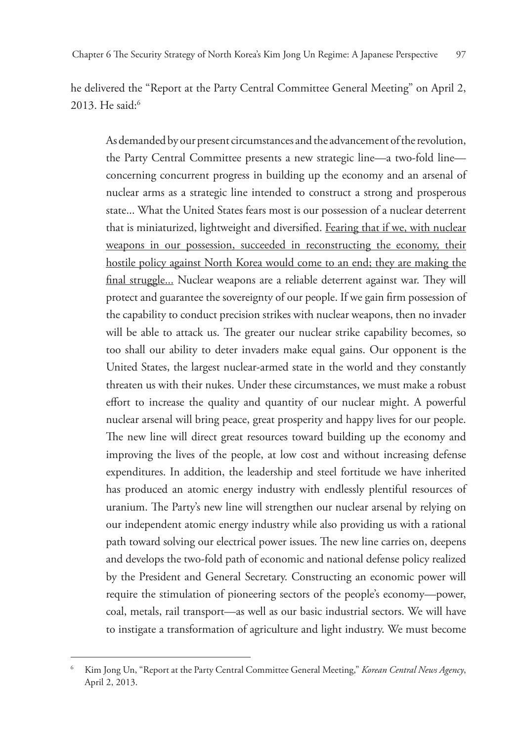he delivered the "Report at the Party Central Committee General Meeting" on April 2, 2013. He said:<sup>6</sup>

As demanded by our present circumstances and the advancement of the revolution, the Party Central Committee presents a new strategic line—a two-fold line concerning concurrent progress in building up the economy and an arsenal of nuclear arms as a strategic line intended to construct a strong and prosperous state... What the United States fears most is our possession of a nuclear deterrent that is miniaturized, lightweight and diversified. Fearing that if we, with nuclear weapons in our possession, succeeded in reconstructing the economy, their hostile policy against North Korea would come to an end; they are making the final struggle... Nuclear weapons are a reliable deterrent against war. They will protect and guarantee the sovereignty of our people. If we gain firm possession of the capability to conduct precision strikes with nuclear weapons, then no invader will be able to attack us. The greater our nuclear strike capability becomes, so too shall our ability to deter invaders make equal gains. Our opponent is the United States, the largest nuclear-armed state in the world and they constantly threaten us with their nukes. Under these circumstances, we must make a robust effort to increase the quality and quantity of our nuclear might. A powerful nuclear arsenal will bring peace, great prosperity and happy lives for our people. The new line will direct great resources toward building up the economy and improving the lives of the people, at low cost and without increasing defense expenditures. In addition, the leadership and steel fortitude we have inherited has produced an atomic energy industry with endlessly plentiful resources of uranium. The Party's new line will strengthen our nuclear arsenal by relying on our independent atomic energy industry while also providing us with a rational path toward solving our electrical power issues. The new line carries on, deepens and develops the two-fold path of economic and national defense policy realized by the President and General Secretary. Constructing an economic power will require the stimulation of pioneering sectors of the people's economy—power, coal, metals, rail transport—as well as our basic industrial sectors. We will have to instigate a transformation of agriculture and light industry. We must become

<sup>6</sup> Kim Jong Un, "Report at the Party Central Committee General Meeting," *Korean Central News Agency*, April 2, 2013.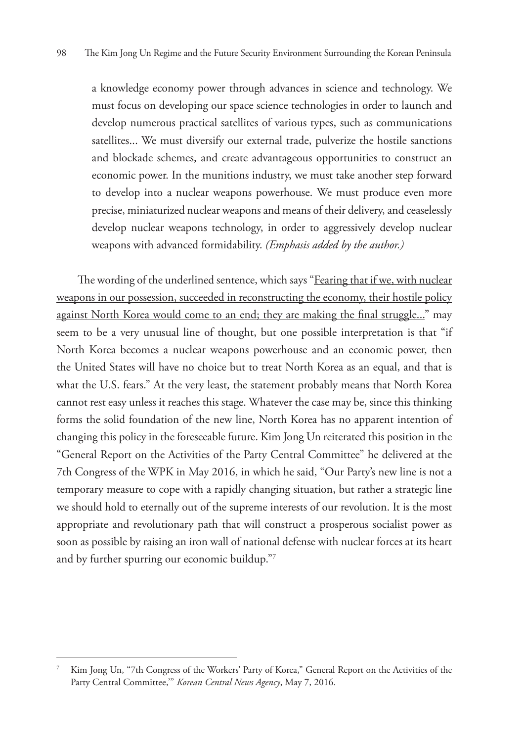a knowledge economy power through advances in science and technology. We must focus on developing our space science technologies in order to launch and develop numerous practical satellites of various types, such as communications satellites... We must diversify our external trade, pulverize the hostile sanctions and blockade schemes, and create advantageous opportunities to construct an economic power. In the munitions industry, we must take another step forward to develop into a nuclear weapons powerhouse. We must produce even more precise, miniaturized nuclear weapons and means of their delivery, and ceaselessly develop nuclear weapons technology, in order to aggressively develop nuclear weapons with advanced formidability. *(Emphasis added by the author.)*

The wording of the underlined sentence, which says "Fearing that if we, with nuclear weapons in our possession, succeeded in reconstructing the economy, their hostile policy against North Korea would come to an end; they are making the final struggle..." may seem to be a very unusual line of thought, but one possible interpretation is that "if North Korea becomes a nuclear weapons powerhouse and an economic power, then the United States will have no choice but to treat North Korea as an equal, and that is what the U.S. fears." At the very least, the statement probably means that North Korea cannot rest easy unless it reaches this stage. Whatever the case may be, since this thinking forms the solid foundation of the new line, North Korea has no apparent intention of changing this policy in the foreseeable future. Kim Jong Un reiterated this position in the "General Report on the Activities of the Party Central Committee" he delivered at the 7th Congress of the WPK in May 2016, in which he said, "Our Party's new line is not a temporary measure to cope with a rapidly changing situation, but rather a strategic line we should hold to eternally out of the supreme interests of our revolution. It is the most appropriate and revolutionary path that will construct a prosperous socialist power as soon as possible by raising an iron wall of national defense with nuclear forces at its heart and by further spurring our economic buildup."7

<sup>7</sup> Kim Jong Un, "7th Congress of the Workers' Party of Korea," General Report on the Activities of the Party Central Committee,'" *Korean Central News Agency*, May 7, 2016.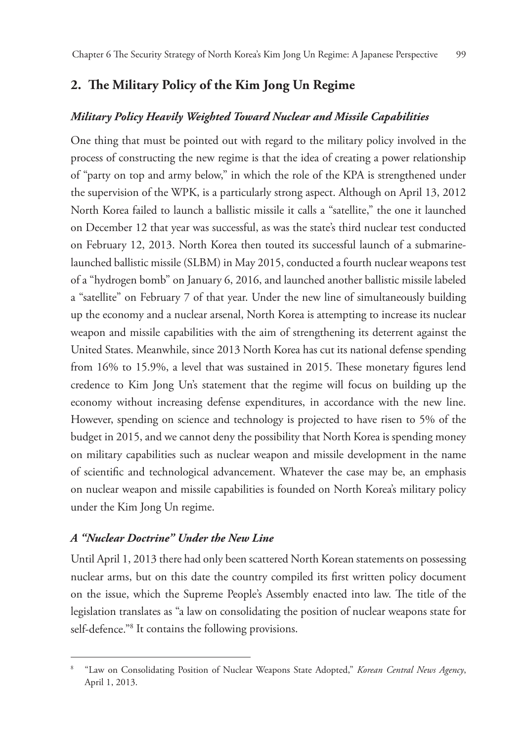## **2. The Military Policy of the Kim Jong Un Regime**

#### *Military Policy Heavily Weighted Toward Nuclear and Missile Capabilities*

One thing that must be pointed out with regard to the military policy involved in the process of constructing the new regime is that the idea of creating a power relationship of "party on top and army below," in which the role of the KPA is strengthened under the supervision of the WPK, is a particularly strong aspect. Although on April 13, 2012 North Korea failed to launch a ballistic missile it calls a "satellite," the one it launched on December 12 that year was successful, as was the state's third nuclear test conducted on February 12, 2013. North Korea then touted its successful launch of a submarinelaunched ballistic missile (SLBM) in May 2015, conducted a fourth nuclear weapons test of a "hydrogen bomb" on January 6, 2016, and launched another ballistic missile labeled a "satellite" on February 7 of that year. Under the new line of simultaneously building up the economy and a nuclear arsenal, North Korea is attempting to increase its nuclear weapon and missile capabilities with the aim of strengthening its deterrent against the United States. Meanwhile, since 2013 North Korea has cut its national defense spending from 16% to 15.9%, a level that was sustained in 2015. These monetary figures lend credence to Kim Jong Un's statement that the regime will focus on building up the economy without increasing defense expenditures, in accordance with the new line. However, spending on science and technology is projected to have risen to 5% of the budget in 2015, and we cannot deny the possibility that North Korea is spending money on military capabilities such as nuclear weapon and missile development in the name of scientific and technological advancement. Whatever the case may be, an emphasis on nuclear weapon and missile capabilities is founded on North Korea's military policy under the Kim Jong Un regime.

## *A "Nuclear Doctrine" Under the New Line*

Until April 1, 2013 there had only been scattered North Korean statements on possessing nuclear arms, but on this date the country compiled its first written policy document on the issue, which the Supreme People's Assembly enacted into law. The title of the legislation translates as "a law on consolidating the position of nuclear weapons state for self-defence."8 It contains the following provisions.

<sup>8</sup> "Law on Consolidating Position of Nuclear Weapons State Adopted," *Korean Central News Agency*, April 1, 2013.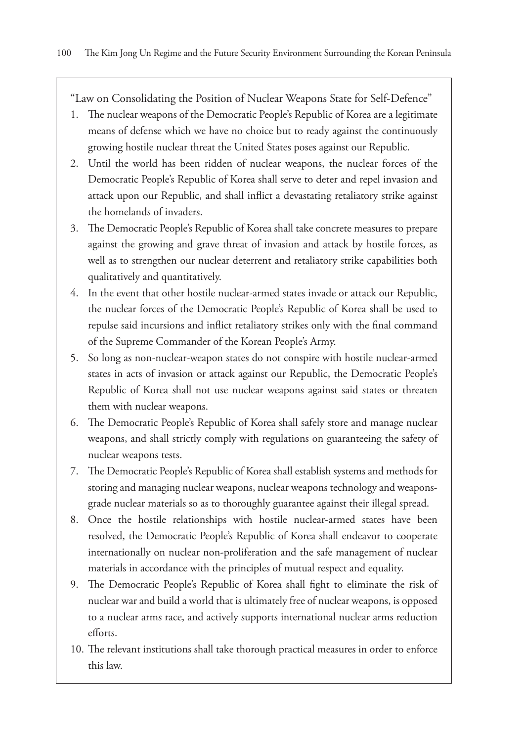"Law on Consolidating the Position of Nuclear Weapons State for Self-Defence"

- 1. The nuclear weapons of the Democratic People's Republic of Korea are a legitimate means of defense which we have no choice but to ready against the continuously growing hostile nuclear threat the United States poses against our Republic.
- 2. Until the world has been ridden of nuclear weapons, the nuclear forces of the Democratic People's Republic of Korea shall serve to deter and repel invasion and attack upon our Republic, and shall inflict a devastating retaliatory strike against the homelands of invaders.
- 3. The Democratic People's Republic of Korea shall take concrete measures to prepare against the growing and grave threat of invasion and attack by hostile forces, as well as to strengthen our nuclear deterrent and retaliatory strike capabilities both qualitatively and quantitatively.
- 4. In the event that other hostile nuclear-armed states invade or attack our Republic, the nuclear forces of the Democratic People's Republic of Korea shall be used to repulse said incursions and inflict retaliatory strikes only with the final command of the Supreme Commander of the Korean People's Army.
- 5. So long as non-nuclear-weapon states do not conspire with hostile nuclear-armed states in acts of invasion or attack against our Republic, the Democratic People's Republic of Korea shall not use nuclear weapons against said states or threaten them with nuclear weapons.
- 6. The Democratic People's Republic of Korea shall safely store and manage nuclear weapons, and shall strictly comply with regulations on guaranteeing the safety of nuclear weapons tests.
- 7. The Democratic People's Republic of Korea shall establish systems and methods for storing and managing nuclear weapons, nuclear weapons technology and weaponsgrade nuclear materials so as to thoroughly guarantee against their illegal spread.
- 8. Once the hostile relationships with hostile nuclear-armed states have been resolved, the Democratic People's Republic of Korea shall endeavor to cooperate internationally on nuclear non-proliferation and the safe management of nuclear materials in accordance with the principles of mutual respect and equality.
- 9. The Democratic People's Republic of Korea shall fight to eliminate the risk of nuclear war and build a world that is ultimately free of nuclear weapons, is opposed to a nuclear arms race, and actively supports international nuclear arms reduction efforts.
- 10. The relevant institutions shall take thorough practical measures in order to enforce this law.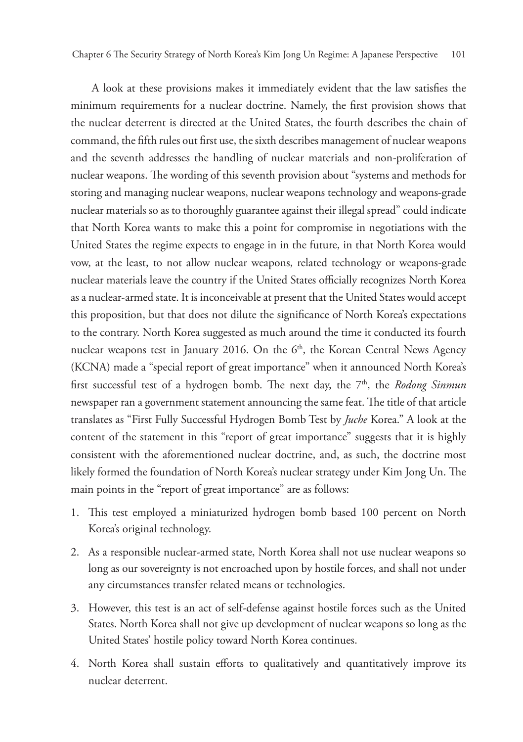A look at these provisions makes it immediately evident that the law satisfies the minimum requirements for a nuclear doctrine. Namely, the first provision shows that the nuclear deterrent is directed at the United States, the fourth describes the chain of command, the fifth rules out first use, the sixth describes management of nuclear weapons and the seventh addresses the handling of nuclear materials and non-proliferation of nuclear weapons. The wording of this seventh provision about "systems and methods for storing and managing nuclear weapons, nuclear weapons technology and weapons-grade nuclear materials so as to thoroughly guarantee against their illegal spread" could indicate that North Korea wants to make this a point for compromise in negotiations with the United States the regime expects to engage in in the future, in that North Korea would vow, at the least, to not allow nuclear weapons, related technology or weapons-grade nuclear materials leave the country if the United States officially recognizes North Korea as a nuclear-armed state. It is inconceivable at present that the United States would accept this proposition, but that does not dilute the significance of North Korea's expectations to the contrary. North Korea suggested as much around the time it conducted its fourth nuclear weapons test in January 2016. On the 6<sup>th</sup>, the Korean Central News Agency (KCNA) made a "special report of great importance" when it announced North Korea's first successful test of a hydrogen bomb. The next day, the 7<sup>th</sup>, the *Rodong Sinmun* newspaper ran a government statement announcing the same feat. The title of that article translates as "First Fully Successful Hydrogen Bomb Test by *Juche* Korea." A look at the content of the statement in this "report of great importance" suggests that it is highly consistent with the aforementioned nuclear doctrine, and, as such, the doctrine most likely formed the foundation of North Korea's nuclear strategy under Kim Jong Un. The main points in the "report of great importance" are as follows:

- 1. This test employed a miniaturized hydrogen bomb based 100 percent on North Korea's original technology.
- 2. As a responsible nuclear-armed state, North Korea shall not use nuclear weapons so long as our sovereignty is not encroached upon by hostile forces, and shall not under any circumstances transfer related means or technologies.
- 3. However, this test is an act of self-defense against hostile forces such as the United States. North Korea shall not give up development of nuclear weapons so long as the United States' hostile policy toward North Korea continues.
- 4. North Korea shall sustain efforts to qualitatively and quantitatively improve its nuclear deterrent.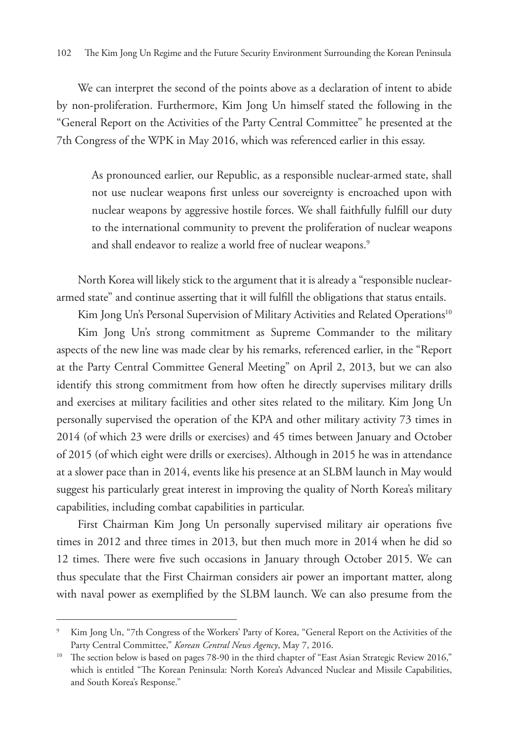We can interpret the second of the points above as a declaration of intent to abide by non-proliferation. Furthermore, Kim Jong Un himself stated the following in the "General Report on the Activities of the Party Central Committee" he presented at the 7th Congress of the WPK in May 2016, which was referenced earlier in this essay.

As pronounced earlier, our Republic, as a responsible nuclear-armed state, shall not use nuclear weapons first unless our sovereignty is encroached upon with nuclear weapons by aggressive hostile forces. We shall faithfully fulfill our duty to the international community to prevent the proliferation of nuclear weapons and shall endeavor to realize a world free of nuclear weapons.<sup>9</sup>

North Korea will likely stick to the argument that it is already a "responsible nucleararmed state" and continue asserting that it will fulfill the obligations that status entails.

Kim Jong Un's Personal Supervision of Military Activities and Related Operations<sup>10</sup>

Kim Jong Un's strong commitment as Supreme Commander to the military aspects of the new line was made clear by his remarks, referenced earlier, in the "Report at the Party Central Committee General Meeting" on April 2, 2013, but we can also identify this strong commitment from how often he directly supervises military drills and exercises at military facilities and other sites related to the military. Kim Jong Un personally supervised the operation of the KPA and other military activity 73 times in 2014 (of which 23 were drills or exercises) and 45 times between January and October of 2015 (of which eight were drills or exercises). Although in 2015 he was in attendance at a slower pace than in 2014, events like his presence at an SLBM launch in May would suggest his particularly great interest in improving the quality of North Korea's military capabilities, including combat capabilities in particular.

First Chairman Kim Jong Un personally supervised military air operations five times in 2012 and three times in 2013, but then much more in 2014 when he did so 12 times. There were five such occasions in January through October 2015. We can thus speculate that the First Chairman considers air power an important matter, along with naval power as exemplified by the SLBM launch. We can also presume from the

<sup>9</sup> Kim Jong Un, "7th Congress of the Workers' Party of Korea, "General Report on the Activities of the Party Central Committee," *Korean Central News Agency*, May 7, 2016.

<sup>&</sup>lt;sup>10</sup> The section below is based on pages 78-90 in the third chapter of "East Asian Strategic Review 2016," which is entitled "The Korean Peninsula: North Korea's Advanced Nuclear and Missile Capabilities, and South Korea's Response."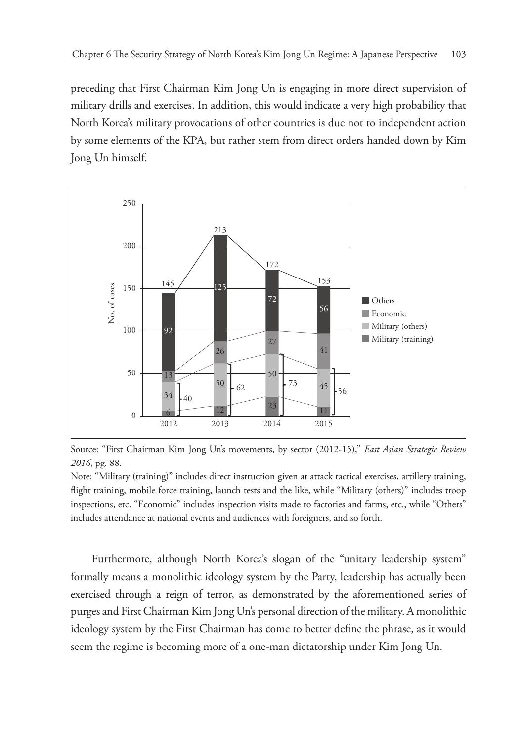preceding that First Chairman Kim Jong Un is engaging in more direct supervision of military drills and exercises. In addition, this would indicate a very high probability that North Korea's military provocations of other countries is due not to independent action by some elements of the KPA, but rather stem from direct orders handed down by Kim Jong Un himself.



Source: "First Chairman Kim Jong Un's movements, by sector (2012-15)," *East Asian Strategic Review 2016*, pg. 88.

Note: "Military (training)" includes direct instruction given at attack tactical exercises, artillery training, flight training, mobile force training, launch tests and the like, while "Military (others)" includes troop inspections, etc. "Economic" includes inspection visits made to factories and farms, etc., while "Others" includes attendance at national events and audiences with foreigners, and so forth.

Furthermore, although North Korea's slogan of the "unitary leadership system" formally means a monolithic ideology system by the Party, leadership has actually been exercised through a reign of terror, as demonstrated by the aforementioned series of purges and First Chairman Kim Jong Un's personal direction of the military. A monolithic ideology system by the First Chairman has come to better define the phrase, as it would seem the regime is becoming more of a one-man dictatorship under Kim Jong Un.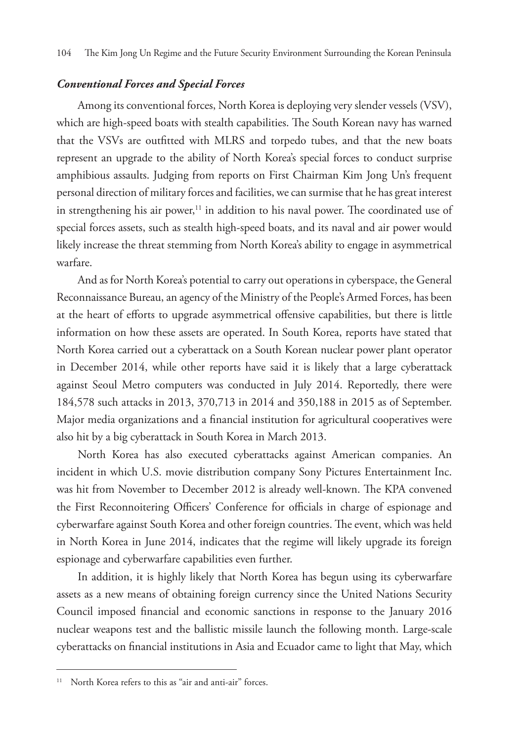#### *Conventional Forces and Special Forces*

Among its conventional forces, North Korea is deploying very slender vessels (VSV), which are high-speed boats with stealth capabilities. The South Korean navy has warned that the VSVs are outfitted with MLRS and torpedo tubes, and that the new boats represent an upgrade to the ability of North Korea's special forces to conduct surprise amphibious assaults. Judging from reports on First Chairman Kim Jong Un's frequent personal direction of military forces and facilities, we can surmise that he has great interest in strengthening his air power, $11$  in addition to his naval power. The coordinated use of special forces assets, such as stealth high-speed boats, and its naval and air power would likely increase the threat stemming from North Korea's ability to engage in asymmetrical warfare.

And as for North Korea's potential to carry out operations in cyberspace, the General Reconnaissance Bureau, an agency of the Ministry of the People's Armed Forces, has been at the heart of efforts to upgrade asymmetrical offensive capabilities, but there is little information on how these assets are operated. In South Korea, reports have stated that North Korea carried out a cyberattack on a South Korean nuclear power plant operator in December 2014, while other reports have said it is likely that a large cyberattack against Seoul Metro computers was conducted in July 2014. Reportedly, there were 184,578 such attacks in 2013, 370,713 in 2014 and 350,188 in 2015 as of September. Major media organizations and a financial institution for agricultural cooperatives were also hit by a big cyberattack in South Korea in March 2013.

North Korea has also executed cyberattacks against American companies. An incident in which U.S. movie distribution company Sony Pictures Entertainment Inc. was hit from November to December 2012 is already well-known. The KPA convened the First Reconnoitering Officers' Conference for officials in charge of espionage and cyberwarfare against South Korea and other foreign countries. The event, which was held in North Korea in June 2014, indicates that the regime will likely upgrade its foreign espionage and cyberwarfare capabilities even further.

In addition, it is highly likely that North Korea has begun using its cyberwarfare assets as a new means of obtaining foreign currency since the United Nations Security Council imposed financial and economic sanctions in response to the January 2016 nuclear weapons test and the ballistic missile launch the following month. Large-scale cyberattacks on financial institutions in Asia and Ecuador came to light that May, which

<sup>&</sup>lt;sup>11</sup> North Korea refers to this as "air and anti-air" forces.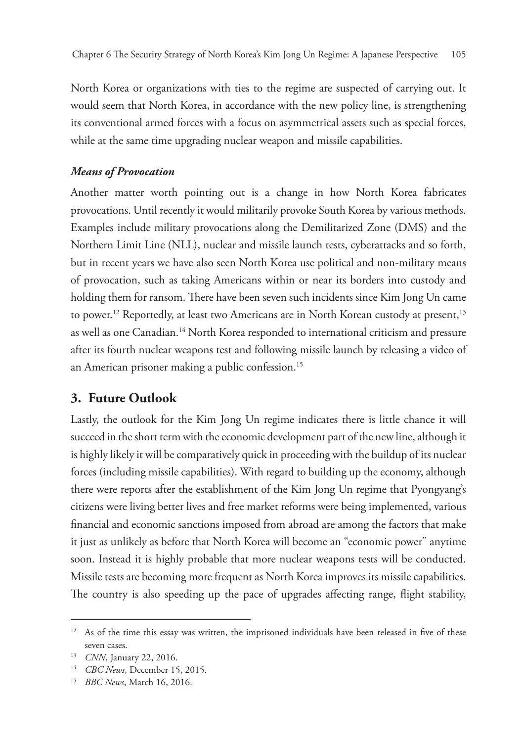North Korea or organizations with ties to the regime are suspected of carrying out. It would seem that North Korea, in accordance with the new policy line, is strengthening its conventional armed forces with a focus on asymmetrical assets such as special forces, while at the same time upgrading nuclear weapon and missile capabilities.

## *Means of Provocation*

Another matter worth pointing out is a change in how North Korea fabricates provocations. Until recently it would militarily provoke South Korea by various methods. Examples include military provocations along the Demilitarized Zone (DMS) and the Northern Limit Line (NLL), nuclear and missile launch tests, cyberattacks and so forth, but in recent years we have also seen North Korea use political and non-military means of provocation, such as taking Americans within or near its borders into custody and holding them for ransom. There have been seven such incidents since Kim Jong Un came to power.<sup>12</sup> Reportedly, at least two Americans are in North Korean custody at present,<sup>13</sup> as well as one Canadian.<sup>14</sup> North Korea responded to international criticism and pressure after its fourth nuclear weapons test and following missile launch by releasing a video of an American prisoner making a public confession.<sup>15</sup>

## **3. Future Outlook**

Lastly, the outlook for the Kim Jong Un regime indicates there is little chance it will succeed in the short term with the economic development part of the new line, although it is highly likely it will be comparatively quick in proceeding with the buildup of its nuclear forces (including missile capabilities). With regard to building up the economy, although there were reports after the establishment of the Kim Jong Un regime that Pyongyang's citizens were living better lives and free market reforms were being implemented, various financial and economic sanctions imposed from abroad are among the factors that make it just as unlikely as before that North Korea will become an "economic power" anytime soon. Instead it is highly probable that more nuclear weapons tests will be conducted. Missile tests are becoming more frequent as North Korea improves its missile capabilities. The country is also speeding up the pace of upgrades affecting range, flight stability,

<sup>&</sup>lt;sup>12</sup> As of the time this essay was written, the imprisoned individuals have been released in five of these seven cases.

<sup>13</sup> *CNN*, January 22, 2016.

<sup>14</sup> *CBC News*, December 15, 2015.

<sup>15</sup> *BBC News*, March 16, 2016.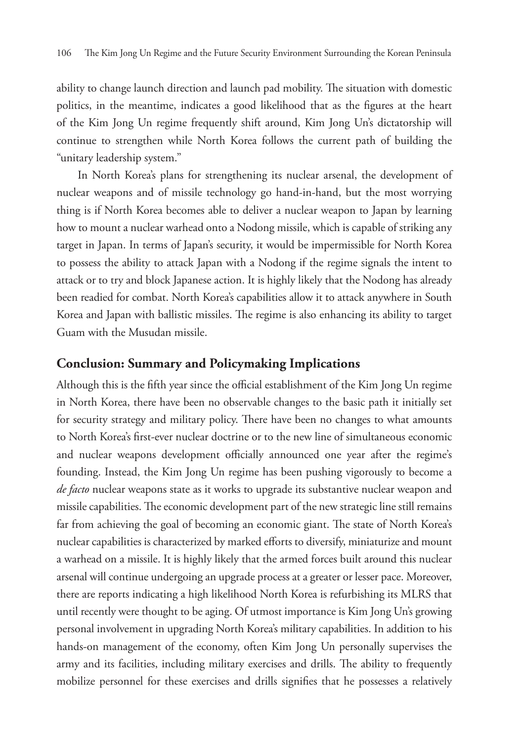ability to change launch direction and launch pad mobility. The situation with domestic politics, in the meantime, indicates a good likelihood that as the figures at the heart of the Kim Jong Un regime frequently shift around, Kim Jong Un's dictatorship will continue to strengthen while North Korea follows the current path of building the "unitary leadership system."

In North Korea's plans for strengthening its nuclear arsenal, the development of nuclear weapons and of missile technology go hand-in-hand, but the most worrying thing is if North Korea becomes able to deliver a nuclear weapon to Japan by learning how to mount a nuclear warhead onto a Nodong missile, which is capable of striking any target in Japan. In terms of Japan's security, it would be impermissible for North Korea to possess the ability to attack Japan with a Nodong if the regime signals the intent to attack or to try and block Japanese action. It is highly likely that the Nodong has already been readied for combat. North Korea's capabilities allow it to attack anywhere in South Korea and Japan with ballistic missiles. The regime is also enhancing its ability to target Guam with the Musudan missile.

## **Conclusion: Summary and Policymaking Implications**

Although this is the fifth year since the official establishment of the Kim Jong Un regime in North Korea, there have been no observable changes to the basic path it initially set for security strategy and military policy. There have been no changes to what amounts to North Korea's first-ever nuclear doctrine or to the new line of simultaneous economic and nuclear weapons development officially announced one year after the regime's founding. Instead, the Kim Jong Un regime has been pushing vigorously to become a *de facto* nuclear weapons state as it works to upgrade its substantive nuclear weapon and missile capabilities. The economic development part of the new strategic line still remains far from achieving the goal of becoming an economic giant. The state of North Korea's nuclear capabilities is characterized by marked efforts to diversify, miniaturize and mount a warhead on a missile. It is highly likely that the armed forces built around this nuclear arsenal will continue undergoing an upgrade process at a greater or lesser pace. Moreover, there are reports indicating a high likelihood North Korea is refurbishing its MLRS that until recently were thought to be aging. Of utmost importance is Kim Jong Un's growing personal involvement in upgrading North Korea's military capabilities. In addition to his hands-on management of the economy, often Kim Jong Un personally supervises the army and its facilities, including military exercises and drills. The ability to frequently mobilize personnel for these exercises and drills signifies that he possesses a relatively